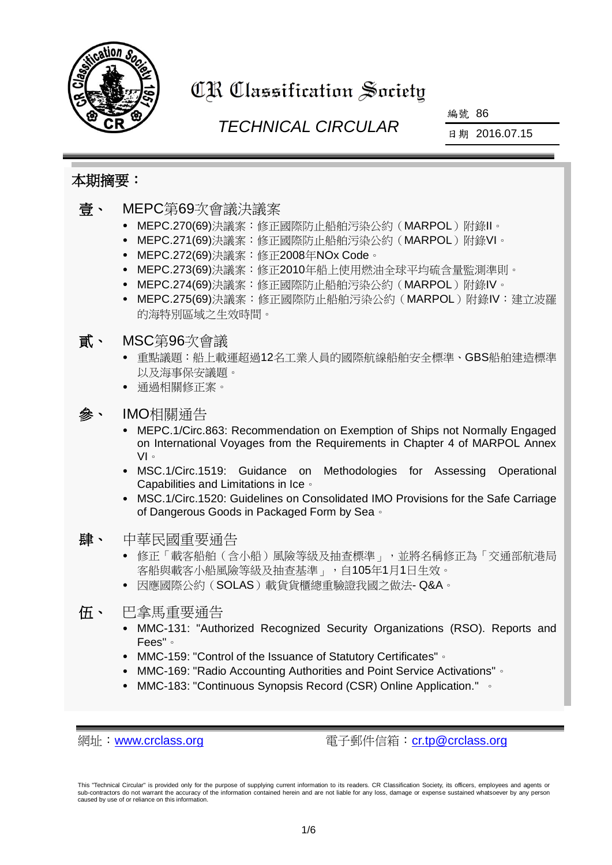

# **CR Classification Society**

## *TECHNICAL CIRCULAR*

編號 86

日期 2016.07.15

## 本期摘要:

| 壹、 | MEPC第69次會議決議案<br>MEPC.270(69)決議案:修正國際防止船舶污染公約(MARPOL)附錄II。<br>MEPC.271(69)決議案:修正國際防止船舶污染公約(MARPOL)附錄VI。<br>MEPC.272(69)決議案:修正2008年NOx Code。<br>$\bullet$<br>MEPC.273(69)決議案:修正2010年船上使用燃油全球平均硫含量監測準則。<br>$\bullet$<br>MEPC.274(69)決議案:修正國際防止船舶污染公約(MARPOL)附錄IV。<br>$\bullet$<br>MEPC.275(69)決議案:修正國際防止船舶污染公約(MARPOL)附錄IV:建立波羅<br>的海特別區域之生效時間。                                                                                                                               |
|----|-----------------------------------------------------------------------------------------------------------------------------------------------------------------------------------------------------------------------------------------------------------------------------------------------------------------------------------------------------------------------------------------------------------------------------------------------------------------------------|
| 「貭 | MSC第96次會議<br>重點議題:船上載運超過12名工業人員的國際航線船舶安全標準、GBS船舶建造標準<br>以及海事保安議題。<br>通過相關修正案。                                                                                                                                                                                                                                                                                                                                                                                               |
| 參、 | IMO相關通告<br>MEPC.1/Circ.863: Recommendation on Exemption of Ships not Normally Engaged<br>on International Voyages from the Requirements in Chapter 4 of MARPOL Annex<br>$VI \circ$<br>MSC.1/Circ.1519: Guidance<br>Methodologies for Assessing<br>on<br>Operational<br>$\bullet$<br>Capabilities and Limitations in Ice of<br>MSC.1/Circ.1520: Guidelines on Consolidated IMO Provisions for the Safe Carriage<br>$\bullet$<br>of Dangerous Goods in Packaged Form by Sea . |
| 肆、 | 中華民國重要通告<br>• 修正「載客船舶(含小船)風險等級及抽查標準」,並將名稱修正為「交通部航港局<br>客船與載客小船風險等級及抽查基準」,自105年1月1日生效。<br>• 因應國際公約(SOLAS)載貨貨櫃總重驗證我國之做法-Q&A。                                                                                                                                                                                                                                                                                                                                                  |
| 伍、 | 巴拿馬重要通告<br>MMC-131: "Authorized Recognized Security Organizations (RSO). Reports and<br>Fees" of<br>MMC-159: "Control of the Issuance of Statutory Certificates" of<br>MMC-169: "Radio Accounting Authorities and Point Service Activations" of<br>$\bullet$<br>MMC-183: "Continuous Synopsis Record (CSR) Online Application." •                                                                                                                                           |

網址:[www.crclass.org](http://www.crclass.org/) 電子郵件信箱:[cr.tp@crclass.org](mailto:cr.tp@crclass.org)

This "Technical Circular" is provided only for the purpose of supplying current information to its readers. CR Classification Society, its officers, employees and agents or<br>sub-contractors do not warrant the accuracy of th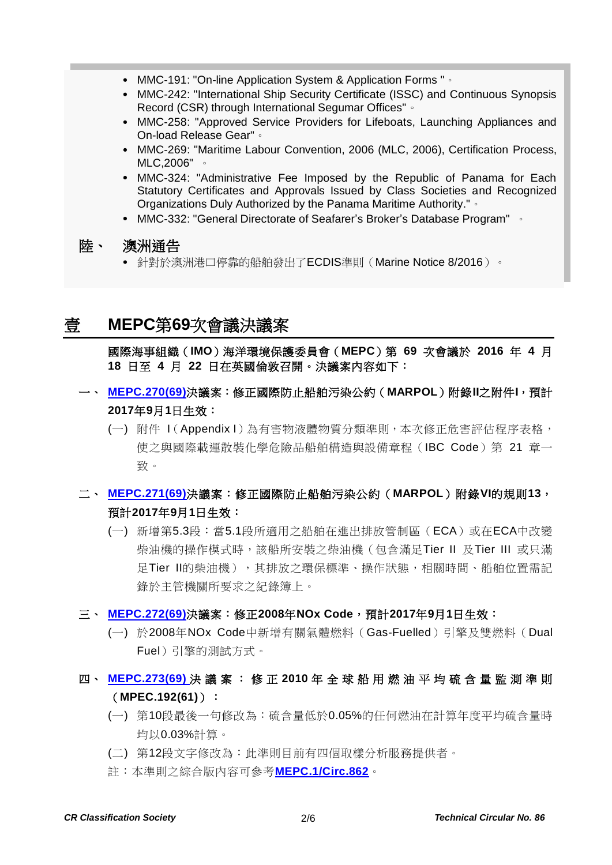- MMC-191: "On-line Application System & Application Forms "。
- MMC-242: "International Ship Security Certificate (ISSC) and Continuous Synopsis Record (CSR) through International Segumar Offices"。
- MMC-258: "Approved Service Providers for Lifeboats, Launching Appliances and On-load Release Gear"。
- MMC-269: "Maritime Labour Convention, 2006 (MLC, 2006), Certification Process, MLC,2006" 。
- MMC-324: "Administrative Fee Imposed by the Republic of Panama for Each Statutory Certificates and Approvals Issued by Class Societies and Recognized Organizations Duly Authorized by the Panama Maritime Authority."。
- MMC-332: "General Directorate of Seafarer's Broker's Database Program" 。

#### 陸、 [澳洲通告](#page-4-0)

針對於澳洲港口停靠的船舶發出了ECDIS準則(Marine Notice 8/2016)。

## <span id="page-1-0"></span>壹 **MEPC**第**69**次會議決議案

國際海事組織(**IMO**)海洋環境保護委員會(**MEPC**)第 **69** 次會議於 **2016** 年 **4** 月 **18** 日至 **4** 月 **22** 日在英國倫敦召開。決議案內容如下:

- 一、 **[MEPC.270\(69\)](http://www.crclass.org/chinese/download/ti-tc/86/1-1%20MEPC.270(69).pdf)**決議案:修正國際防止船舶污染公約(**MARPOL**)附錄**II**之附件**I**,預計 **2017**年**9**月**1**日生效:
	- (一) 附件 I(Appendix I)為有害物液體物質分類準則,本次修正危害評估程序表格, 使之與國際載運散裝化學危險品船舶構造與設備章程(IBC Code)第 21 章一 致。

### 二、 **[MEPC.271\(69\)](http://www.crclass.org/chinese/download/ti-tc/86/1-2%20MEPC.271(69).pdf)**決議案:修正國際防止船舶污染公約(**MARPOL**)附錄**VI**的規則**13**, 預計**2017**年**9**月**1**日生效:

(一) 新增第5.3段:當5.1段所適用之船舶在進出排放管制區(ECA)或在ECA中改變 柴油機的操作模式時,該船所安裝之柴油機(包含滿足Tier II 及Tier III 或只滿 足Tier II的柴油機),其排放之環保標準、操作狀態,相關時間、船舶位置需記 錄於主管機關所要求之紀錄簿上。

#### 三、 **[MEPC.272\(69\)](http://www.crclass.org/chinese/download/ti-tc/86/1-3%20MEPC.272(69).pdf)**決議案:修正**2008**年**NOx Code**,預計**2017**年**9**月**1**日生效:

(一) 於2008年NOx Code中新增有關氣體燃料(Gas-Fuelled)引擎及雙燃料(Dual Fuel)引擎的測試方式。

#### 四、 **[MEPC.273\(69\)](http://www.crclass.org/chinese/download/ti-tc/86/1-4%20MEPC.273(69).pdf)** 決 議 案 : 修 正 **2010** 年 全 球 船 用 燃 油 平 均 硫 含 量 監 測 準 則 (**MPEC.192(61)**):

- (一) 第10段最後一句修改為:硫含量低於0.05%的任何燃油在計算年度平均硫含量時 均以0.03%計算。
- (二) 第12段文字修改為:此準則目前有四個取樣分析服務提供者。
- 註:本準則之綜合版內容可參考**[MEPC.1/Circ.862](http://www.crclass.org/chinese/download/ti-tc/86/1-5%20MEPC.1-Circ.862%20-%202010%20Guidelines%20For%20Monitoring%20The%20Worldwide%20Average%20Sulphur%20Content%20Of%20Fuel%20Oils%20Supplied...%20(Secretariat)%20(1).pdf)**。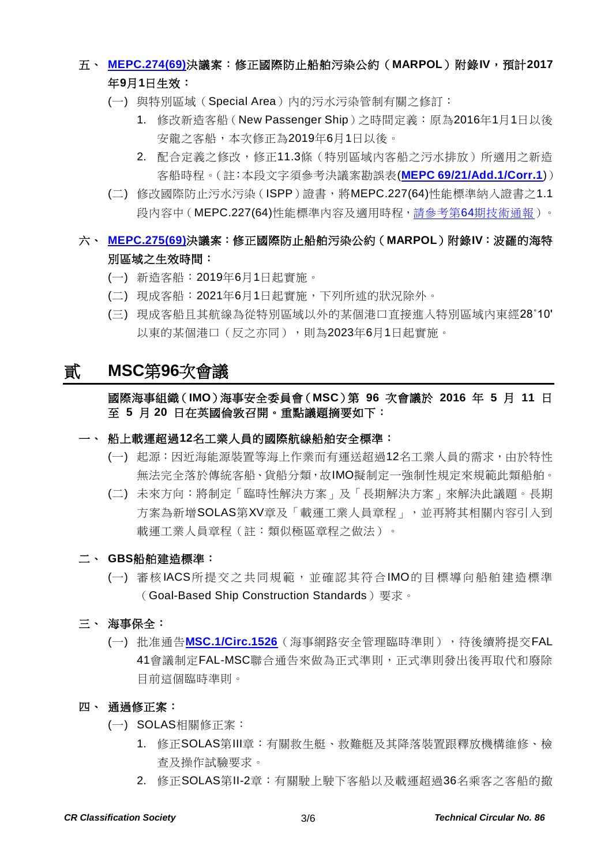## 五、 **[MEPC.274\(69\)](http://www.crclass.org/chinese/download/ti-tc/86/1-6%20MEPC.274(69).pdf)**決議案:修正國際防止船舶污染公約(**MARPOL**)附錄**IV**,預計**2017** 年**9**月**1**日生效:

- (一) 與特別區域(Special Area)內的污水污染管制有關之修訂:
	- 1. 修改新造客船(New Passenger Ship)之時間定義:原為2016年1月1日以後 安龍之客船,本次修正為2019年6月1日以後。
	- 2. 配合定義之修改,修正11.3條(特別區域內客船之污水排放)所適用之新造 客船時程。(註:本段文字須參考決議案勘誤表(**[MEPC 69/21/Add.1/Corr.1](http://www.crclass.org/chinese/download/ti-tc/86/1-7%20MEPC%2069-21-Add.1-Corr.1%20-%20Corrigendum%20(Secretariat).pdf)**))
- (二) 修改國際防止污水污染(ISPP)證書,將MEPC.227(64)性能標準納入證書之1.1 段內容中(MEPC.227(64)性能標準內容及適用時程,請參考第64[期技術通報\)](http://www.crclass.org/chinese/download/ti-tc/64/64.pdf)。

#### 六、 **[MEPC.275\(69\)](http://www.crclass.org/chinese/download/ti-tc/86/1-8%20MEPC.275(69).pdf)**決議案:修正國際防止船舶污染公約(**MARPOL**)附錄**IV**:波羅的海特 別區域之生效時間:

- (一) 新造客船:2019年6月1日起實施。
- (二) 現成客船:2021年6月1日起實施,下列所述的狀況除外。
- (三) 現成客船且其航線為從特別區域以外的某個港口直接進入特別區域內東經28˚10' 以東的某個港口(反之亦同),則為2023年6月1日起實施。

### <span id="page-2-0"></span>貳 **MSC**第**96**次會議

#### 國際海事組織(**IMO**)海事安全委員會(**MSC**)第 **96** 次會議於 **2016** 年 **5** 月 **11** 日 至 **5** 月 **20** 日在英國倫敦召開。重點議題摘要如下:

#### 一、 船上載運超過**12**名工業人員的國際航線船舶安全標準:

- (一) 起源:因近海能源裝置等海上作業而有運送超過12名工業人員的需求,由於特性 無法完全落於傳統客船、貨船分類,故IMO擬制定一強制性規定來規範此類船舶。
- (二) 未來方向:將制定「臨時性解決方案」及「長期解決方案」來解決此議題。長期 方案為新增SOLAS第XV章及「載運工業人員章程」,並再將其相關內容引入到 載運工業人員章程(註:類似極區章程之做法)。
- 二、 **GBS**船舶建造標準:
	- (一) 審核IACS所提交之共同規範, 並確認其符合IMO的目標導向船舶建造標準 (Goal-Based Ship Construction Standards)要求。
- 三、 海事保全:
	- (一) 批准通告[MSC.1/Circ.1526](http://www.crclass.org/chinese/download/ti-tc/86/2-1%20MSC.1-Circ.1526%20-%20Interim%20Guidelines%20On%20Maritime%20Cyber%20Risk%20Management%20(Secretariat).pdf) (海事網路安全管理臨時準則),待後續將提交FAL 41會議制定FAL-MSC聯合通告來做為正式準則,正式準則發出後再取代和廢除 目前這個臨時準則。

#### 四、 通過修正案:

- (一) SOLAS相關修正案:
	- 1. 修正SOLAS第Ⅲ章:有關救牛艇、救難艇及其降落裝置跟釋放機構維修、檢 查及操作試驗要求。
	- 2. 修正SOLAS第II-2章: 有關駛上駛下客船以及載運超過36名乘客之客船的撤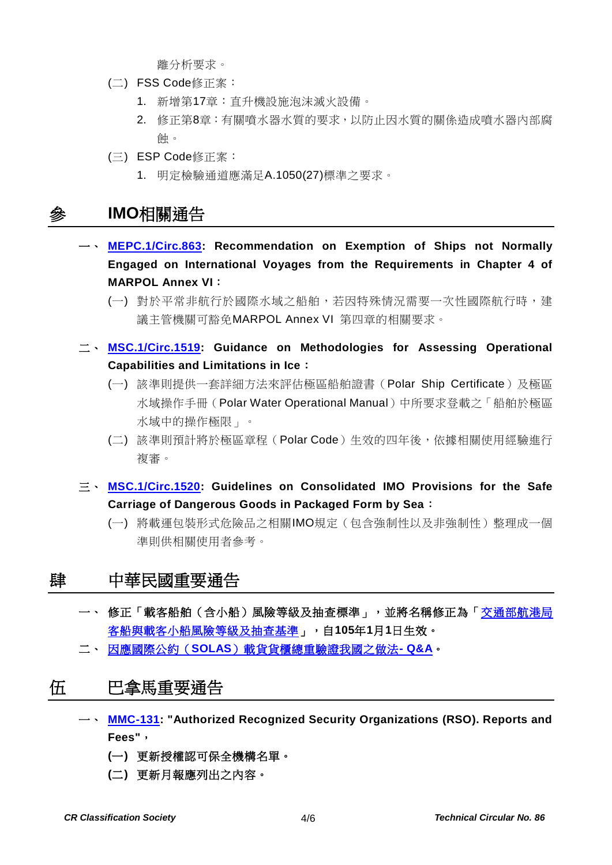離分析要求。

- (二) FSS Code修正案:
	- 1. 新增第17章:直升機設施泡沫滅火設備。
	- 2. 修正第8章:有關噴水器水質的要求,以防止因水質的關係造成噴水器內部腐 蝕。
- (三) ESP Code修正案:
	- 1. 明定檢驗通道應滿足A.1050(27)標準之要求。

## <span id="page-3-0"></span>參 **IMO**相關通告

- 一、 **[MEPC.1/Circ.863:](http://www.crclass.org/chinese/download/ti-tc/86/3-1%20MEPC.1-Circ.863%20-%20Recommendation%20On%20Exemption%20Of%20Ships%20Not%20Normally%20Engaged%20On%20International%20Voyages%20From%20Th...%20(Secretariat)%20(1).pdf) Recommendation on Exemption of Ships not Normally Engaged on International Voyages from the Requirements in Chapter 4 of MARPOL Annex VI**:
	- (一) 對於平常非航行於國際水域之船舶, 若因特殊情況需要一次性國際航行時, 建 議主管機關可豁免MARPOL Annex VI 第四章的相關要求。
- 二、 **[MSC.1/Circ.1519:](http://www.crclass.org/chinese/download/ti-tc/86/3-2%20MSC.1-Circ.1519%20-%20Guidance%20On%20Methodologies%20For%20Assessing%20Operational%20Capabilities%20And%20Limitations%20In%20Ice%20(Secretariat).pdf) Guidance on Methodologies for Assessing Operational Capabilities and Limitations in Ice**:
	- (一) 該準則提供一套詳細方法來評估極區船舶證書(Polar Ship Certificate)及極區 水域操作手冊(Polar Water Operational Manual)中所要求登載之「船舶於極區 水域中的操作極限」。
	- (二) 該準則預計將於極區章程(Polar Code)生效的四年後,依據相關使用經驗進行 複審。
- 三、 **[MSC.1/Circ.1520:](http://www.crclass.org/chinese/download/ti-tc/86/3-3%20MSC.1-Circ.1520%20-%20Guidelines%20On%20Consolidated%20Imo%20Provisions%20For%20The%20Safe%20Carriage%20Of%20Dangerous%20Goods%20In%20Pack...%20(Secretariat).pdf) Guidelines on Consolidated IMO Provisions for the Safe Carriage of Dangerous Goods in Packaged Form by Sea**:
	- (一) 將載運包裝形式危險品之相關IMO規定(包含強制性以及非強制性)整理成一個 準則供相關使用者參考。

### <span id="page-3-1"></span>肆 中華民國重要通告

- 一、 修正「載客船舶(含小船)風險等級及抽查標準」,並將名稱修正為[「交通部航港局](http://gazette.nat.gov.tw/EG_FileManager/eguploadpub/eg022123/ch06/type2/gov50/num12/Eg.htm) [客船與載客小船風險等級及抽查基準」](http://gazette.nat.gov.tw/EG_FileManager/eguploadpub/eg022123/ch06/type2/gov50/num12/Eg.htm),自**105**年**1**月**1**日生效。
- <span id="page-3-2"></span>二、 因應國際公約(**SOLAS**[\)載貨貨櫃總重驗證我國之做法](http://www.motcmpb.gov.tw/MOTCMPBWeb/wSite/lp?ctNode=743&mp=1&idPath=220_226_743)**- Q&A**。

## 伍 巴拿馬重要通告

- 一、 **[MMC-131:](http://www.crclass.org/chinese/download/ti-tc/86/5-1%20MMC-131-June-2016.pdf) "Authorized Recognized Security Organizations (RSO). Reports and Fees"**,
	- **(**一**)** 更新授權認可保全機構名單。
	- **(**二**)** 更新月報應列出之內容。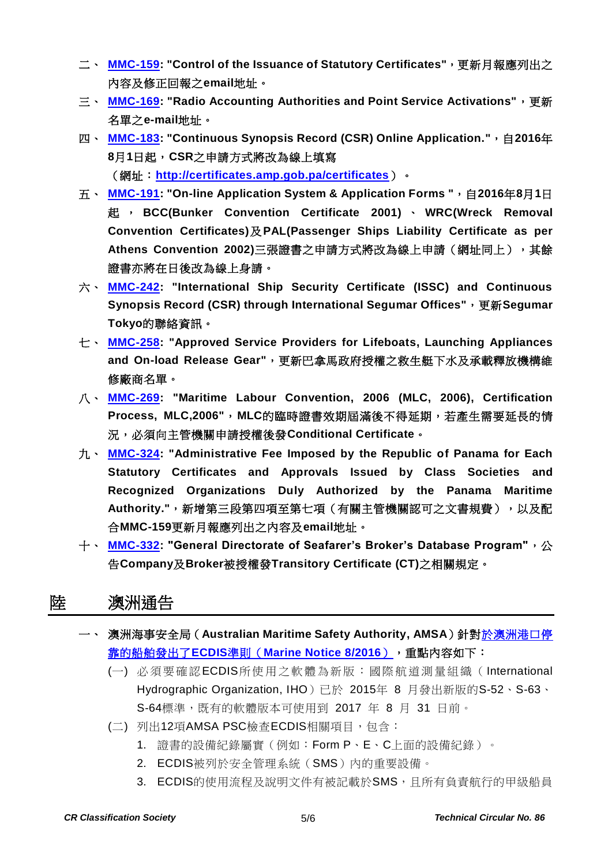- 二、 **[MMC-159:](http://www.crclass.org/chinese/download/ti-tc/86/5-2%20MMC-159-June-2016.pdf) "Control of the Issuance of Statutory Certificates"**,更新月報應列出之 內容及修正回報之**email**地址。
- 三、 **[MMC-169:](http://www.crclass.org/chinese/download/ti-tc/86/5-3%20MMC-169-june-2016.pdf) "Radio Accounting Authorities and Point Service Activations"**,更新 名單之**e-mail**地址。
- 四 、 <mark>[MMC-183:](http://www.crclass.org/chinese/download/ti-tc/86/5-4%20MMC-183-July-UPDATED-ULTIMA.pdf)</mark> "Continuous Synopsis Record (CSR) Online Application.",自2016年 **8**月**1**日起,**CSR**之申請方式將改為線上填寫 (網址:**<http://certificates.amp.gob.pa/certificates>**)。
- 五、 **[MMC-191:](http://www.crclass.org/chinese/download/ti-tc/86/5-5%20MMC-191-July-2016.pdf) "On-line Application System & Application Forms "**,自**2016**年**8**月**1**日 起 , **BCC(Bunker Convention Certificate 2001)** 、 **WRC(Wreck Removal Convention Certificates)**及**PAL(Passenger Ships Liability Certificate as per Athens Convention 2002)**三張證書之申請方式將改為線上申請(網址同上),其餘 證書亦將在日後改為線上身請。
- 六、 **[MMC-242:](http://www.crclass.org/chinese/download/ti-tc/86/5-6%20MMC-242-2016-JULY.pdf) "International Ship Security Certificate (ISSC) and Continuous Synopsis Record (CSR) through International Segumar Offices"**,更新**Segumar Tokyo**的聯絡資訊。
- 七、 **[MMC-258:](http://www.crclass.org/chinese/download/ti-tc/86/5-7MMC-258-Approved-service-providers-for-lifeboats-launching-appliances-and-on-load-release-gear-17-June-2016.pdf) "Approved Service Providers for Lifeboats, Launching Appliances and On-load Release Gear"**,更新巴拿馬政府授權之救生艇下水及承載釋放機構維 修廠商名單。
- 八、 **[MMC-269:](http://www.crclass.org/chinese/download/ti-tc/86/5-8%20MMC-269-June-2016.pdf) "Maritime Labour Convention, 2006 (MLC, 2006), Certification Process, MLC,2006"**,**MLC**的臨時證書效期屆滿後不得延期,若產生需要延長的情 況,必須向主管機關申請授權後發**Conditional Certificate**。
- 九、 **[MMC-324:](http://www.crclass.org/chinese/download/ti-tc/86/5-9MMC-324-June.pdf) "Administrative Fee Imposed by the Republic of Panama for Each Statutory Certificates and Approvals Issued by Class Societies and Recognized Organizations Duly Authorized by the Panama Maritime**  Authority.", 新增第三段第四項至第七項(有關主管機關認可之文書規費), 以及配 合**MMC-159**更新月報應列出之內容及**email**地址。
- 十、 **[MMC-332:](http://www.crclass.org/chinese/download/ti-tc/86/5-10%20MMC-332.pdf) "General Directorate of Seafarer's Broker's Database Program"**,公 告**Company**及**Broker**被授權發**Transitory Certificate (CT)**之相關規定。

## <span id="page-4-0"></span>陸 澳洲通告

- 一、 澳洲海事安全局 (Australian Maritime Safety Authority, AMSA) 針[對於澳洲港口停](http://www.crclass.org/chinese/download/ti-tc/86/6-1%20Guidance%20on%20ECDIS%20for%20ships%20calling%20at%20Australian%20ports.pdf) 靠的船舶發出了**ECDIS**準則(**[Marine Notice 8/2016](http://www.crclass.org/chinese/download/ti-tc/86/6-1%20Guidance%20on%20ECDIS%20for%20ships%20calling%20at%20Australian%20ports.pdf)**),重點內容如下:
	- (一) 必須要確認ECDIS所使用之軟體為新版:國際航道測量組織( International Hydrographic Organization, IHO)已於 2015年 8 月發出新版的S-52、S-63、 S-64標準,既有的軟體版本可使用到 2017 年 8 月 31 日前。
	- (二) 列出12項AMSA PSC檢查ECDIS相關項目, 包含:
		- 1. 證書的設備紀錄屬實(例如:Form P、E、C上面的設備紀錄)。
		- 2. ECDIS被列於安全管理系統(SMS)內的重要設備。
		- 3. ECDIS的使用流程及說明文件有被記載於SMS, 日所有負責航行的甲級船員